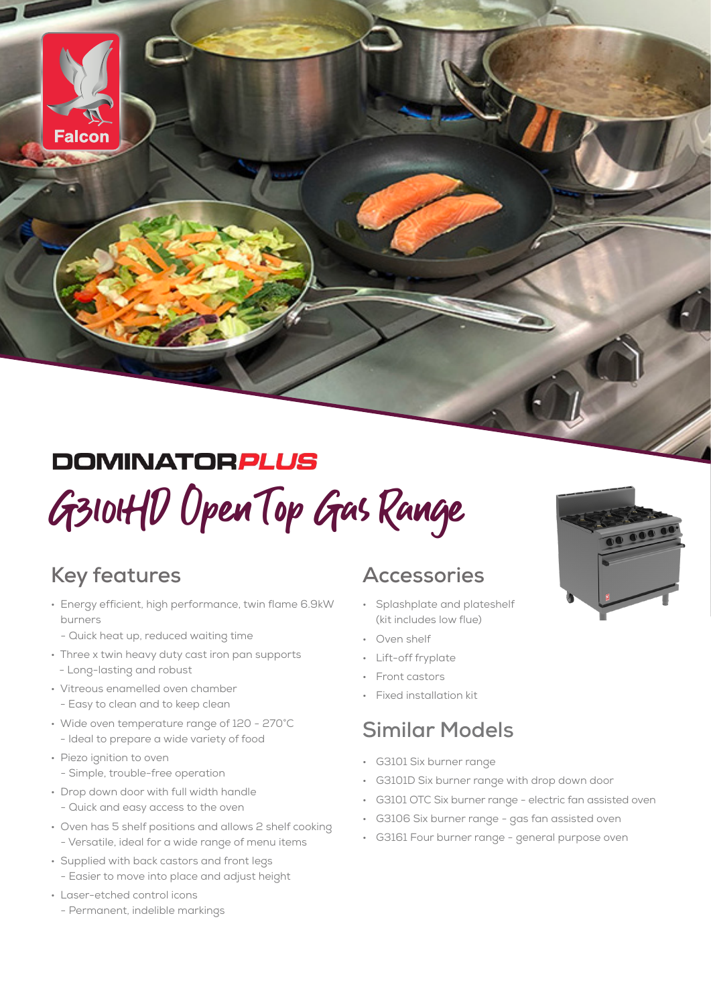#### **DOMINATORPLUS**

# G3101HD Open Top Gas Range

#### **Key features**

Falcon

- Energy efficient, high performance, twin flame 6.9kW burners
	- Quick heat up, reduced waiting time
- Three x twin heavy duty cast iron pan supports - Long-lasting and robust
- Vitreous enamelled oven chamber - Easy to clean and to keep clean
- Wide oven temperature range of 120 270°C - Ideal to prepare a wide variety of food
- Piezo ignition to oven - Simple, trouble-free operation
- Drop down door with full width handle - Quick and easy access to the oven
- Oven has 5 shelf positions and allows 2 shelf cooking - Versatile, ideal for a wide range of menu items
- Supplied with back castors and front legs - Easier to move into place and adjust height
- Laser-etched control icons
- Permanent, indelible markings

#### **Accessories**

- Splashplate and plateshelf (kit includes low flue)
- Oven shelf
- Lift-off fryplate
- Front castors
- Fixed installation kit

#### **Similar Models**

- G3101 Six burner range
- G3101D Six burner range with drop down door
- G3101 OTC Six burner range electric fan assisted oven
- G3106 Six burner range gas fan assisted oven
- G3161 Four burner range general purpose oven